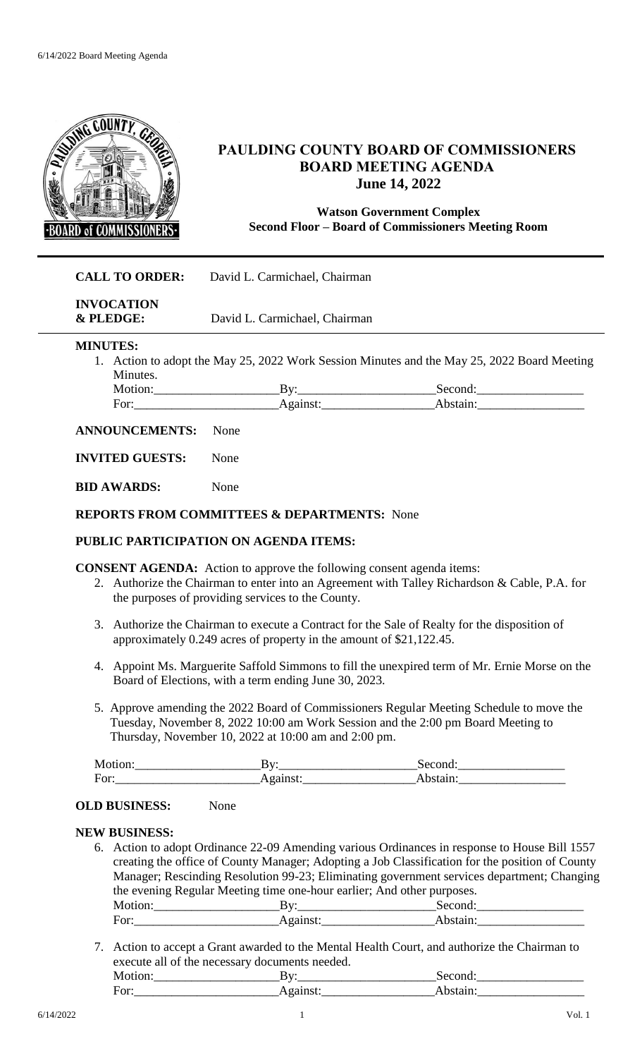

# **PAULDING COUNTY BOARD OF COMMISSIONERS BOARD MEETING AGENDA June 14, 2022**

## **Watson Government Complex Second Floor – Board of Commissioners Meeting Room**

# **CALL TO ORDER:** David L. Carmichael, Chairman

**INVOCATION & PLEDGE:** David L. Carmichael, Chairman

**MINUTES:**

1. Action to adopt the May 25, 2022 Work Session Minutes and the May 25, 2022 Board Meeting Minutes.

| $\neg \alpha r$<br>vı |  |
|-----------------------|--|

#### **ANNOUNCEMENTS:** None

**INVITED GUESTS:** None

**BID AWARDS:** None

#### **REPORTS FROM COMMITTEES & DEPARTMENTS:** None

### **PUBLIC PARTICIPATION ON AGENDA ITEMS:**

**CONSENT AGENDA:** Action to approve the following consent agenda items:

- 2. Authorize the Chairman to enter into an Agreement with Talley Richardson & Cable, P.A. for the purposes of providing services to the County.
- 3. Authorize the Chairman to execute a Contract for the Sale of Realty for the disposition of approximately 0.249 acres of property in the amount of \$21,122.45.
- 4. Appoint Ms. Marguerite Saffold Simmons to fill the unexpired term of Mr. Ernie Morse on the Board of Elections, with a term ending June 30, 2023.
- 5. Approve amending the 2022 Board of Commissioners Regular Meeting Schedule to move the Tuesday, November 8, 2022 10:00 am Work Session and the 2:00 pm Board Meeting to Thursday, November 10, 2022 at 10:00 am and 2:00 pm.

| Motion <sup>.</sup> | ,<br>                     | Seronc |
|---------------------|---------------------------|--------|
| For:                | $\sim$ ninct $\cdot$<br>. |        |

### **OLD BUSINESS:** None

#### **NEW BUSINESS:**

- 6. Action to adopt Ordinance 22-09 Amending various Ordinances in response to House Bill 1557 creating the office of County Manager; Adopting a Job Classification for the position of County Manager; Rescinding Resolution 99-23; Eliminating government services department; Changing the evening Regular Meeting time one-hour earlier; And other purposes. Motion: By: Second: For:\_\_\_\_\_\_\_\_\_\_\_\_\_\_\_\_\_\_\_\_\_\_\_Against:\_\_\_\_\_\_\_\_\_\_\_\_\_\_\_\_\_\_Abstain:\_\_\_\_\_\_\_\_\_\_\_\_\_\_\_\_\_
- 7. Action to accept a Grant awarded to the Mental Health Court, and authorize the Chairman to execute all of the necessary documents needed. Motion: By: By: Second: For:\_\_\_\_\_\_\_\_\_\_\_\_\_\_\_\_\_\_\_\_\_\_\_Against:\_\_\_\_\_\_\_\_\_\_\_\_\_\_\_\_\_\_Abstain:\_\_\_\_\_\_\_\_\_\_\_\_\_\_\_\_\_